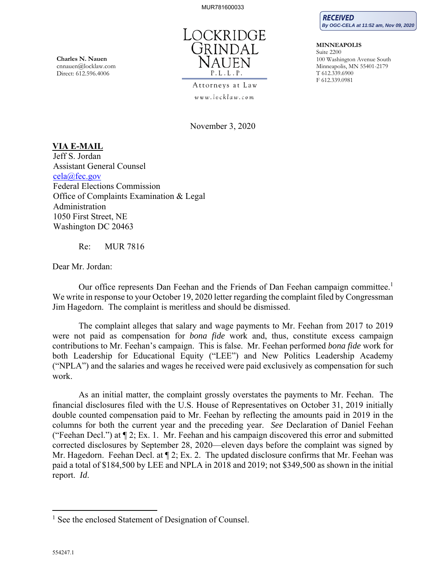

Attorneys at Law www.locklaw.com

November 3, 2020

# **VIA E-MAIL**

Jeff S. Jordan Assistant General Counsel cela@fec.gov Federal Elections Commission Office of Complaints Examination & Legal Administration 1050 First Street, NE Washington DC 20463

Re: MUR 7816

Dear Mr. Jordan:

Our office represents Dan Feehan and the Friends of Dan Feehan campaign committee.<sup>1</sup> We write in response to your October 19, 2020 letter regarding the complaint filed by Congressman Jim Hagedorn. The complaint is meritless and should be dismissed.

The complaint alleges that salary and wage payments to Mr. Feehan from 2017 to 2019 were not paid as compensation for *bona fide* work and, thus, constitute excess campaign contributions to Mr. Feehan's campaign. This is false. Mr. Feehan performed *bona fide* work for both Leadership for Educational Equity ("LEE") and New Politics Leadership Academy ("NPLA") and the salaries and wages he received were paid exclusively as compensation for such work.

As an initial matter, the complaint grossly overstates the payments to Mr. Feehan. The financial disclosures filed with the U.S. House of Representatives on October 31, 2019 initially double counted compensation paid to Mr. Feehan by reflecting the amounts paid in 2019 in the columns for both the current year and the preceding year. *See* Declaration of Daniel Feehan ("Feehan Decl.") at ¶ 2; Ex. 1. Mr. Feehan and his campaign discovered this error and submitted corrected disclosures by September 28, 2020—eleven days before the complaint was signed by Mr. Hagedorn. Feehan Decl. at  $\P$  2; Ex. 2. The updated disclosure confirms that Mr. Feehan was paid a total of \$184,500 by LEE and NPLA in 2018 and 2019; not \$349,500 as shown in the initial report. *Id*.

**Charles N. Nauen**  cnnauen@locklaw.com Direct: 612.596.4006



**MINNEAPOLIS**  Suite 2200 100 Washington Avenue South Minneapolis, MN 55401-2179 T 612.339.6900 F 612.339.0981

<u>.</u>

<sup>&</sup>lt;sup>1</sup> See the enclosed Statement of Designation of Counsel.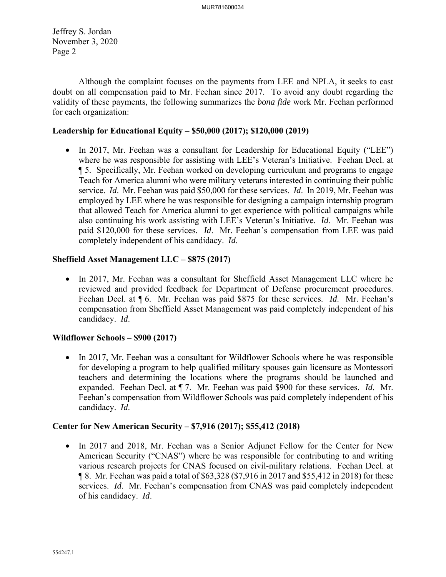Jeffrey S. Jordan November 3, 2020 Page 2

Although the complaint focuses on the payments from LEE and NPLA, it seeks to cast doubt on all compensation paid to Mr. Feehan since 2017. To avoid any doubt regarding the validity of these payments, the following summarizes the *bona fide* work Mr. Feehan performed for each organization:

### **Leadership for Educational Equity – \$50,000 (2017); \$120,000 (2019)**

• In 2017, Mr. Feehan was a consultant for Leadership for Educational Equity ("LEE") where he was responsible for assisting with LEE's Veteran's Initiative. Feehan Decl. at ¶ 5. Specifically, Mr. Feehan worked on developing curriculum and programs to engage Teach for America alumni who were military veterans interested in continuing their public service. *Id*. Mr. Feehan was paid \$50,000 for these services. *Id*. In 2019, Mr. Feehan was employed by LEE where he was responsible for designing a campaign internship program that allowed Teach for America alumni to get experience with political campaigns while also continuing his work assisting with LEE's Veteran's Initiative. *Id.* Mr. Feehan was paid \$120,000 for these services. *Id*. Mr. Feehan's compensation from LEE was paid completely independent of his candidacy. *Id*.

### **Sheffield Asset Management LLC – \$875 (2017)**

 In 2017, Mr. Feehan was a consultant for Sheffield Asset Management LLC where he reviewed and provided feedback for Department of Defense procurement procedures. Feehan Decl. at ¶ 6. Mr. Feehan was paid \$875 for these services. *Id*. Mr. Feehan's compensation from Sheffield Asset Management was paid completely independent of his candidacy. *Id*.

## **Wildflower Schools – \$900 (2017)**

• In 2017, Mr. Feehan was a consultant for Wildflower Schools where he was responsible for developing a program to help qualified military spouses gain licensure as Montessori teachers and determining the locations where the programs should be launched and expanded. Feehan Decl. at ¶ 7. Mr. Feehan was paid \$900 for these services. *Id*. Mr. Feehan's compensation from Wildflower Schools was paid completely independent of his candidacy. *Id*.

# **Center for New American Security – \$7,916 (2017); \$55,412 (2018)**

• In 2017 and 2018, Mr. Feehan was a Senior Adjunct Fellow for the Center for New American Security ("CNAS") where he was responsible for contributing to and writing various research projects for CNAS focused on civil-military relations. Feehan Decl. at ¶ 8. Mr. Feehan was paid a total of \$63,328 (\$7,916 in 2017 and \$55,412 in 2018) for these services. *Id*. Mr. Feehan's compensation from CNAS was paid completely independent of his candidacy. *Id*.